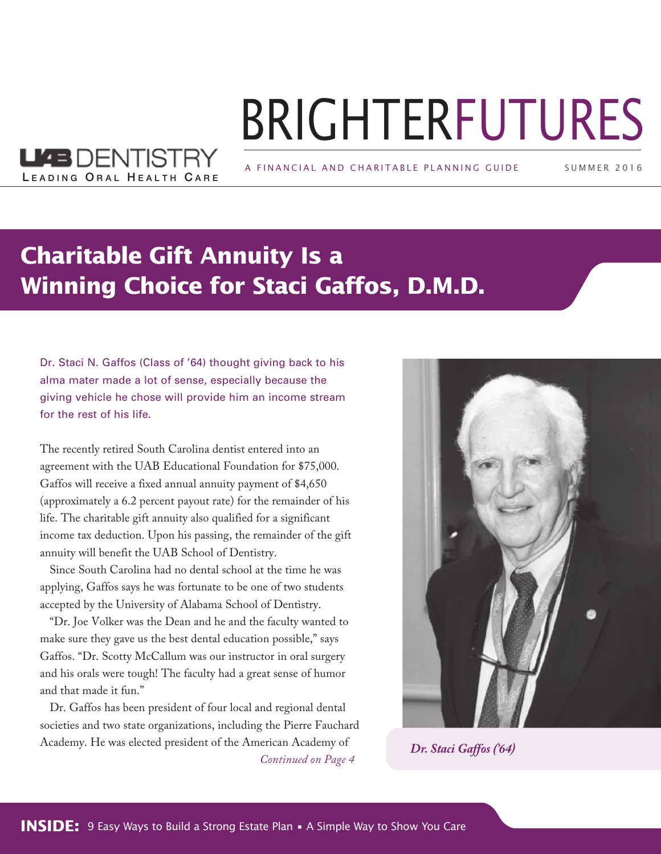# BRIGHTERFUTURES

A FINANCIAL AND CHARITABLE PLANNING GUIDE

SUMMER 2 0 1 6

### **Charitable Gift Annuity Is a Winning Choice for Staci Gaffos, D.M.D.**

Dr. Staci N. Gaffos (Class of '64) thought giving back to his alma mater made a lot of sense, especially because the giving vehicle he chose will provide him an income stream for the rest of his life.

LEADING ORAL HEALTH CARE

**LL4BDENTISTRY** 

The recently retired South Carolina dentist entered into an agreement with the UAB Educational Foundation for \$75,000. Gaffos will receive a fixed annual annuity payment of \$4,650 (approximately a 6.2 percent payout rate) for the remainder of his life. The charitable gift annuity also qualified for a significant income tax deduction. Upon his passing, the remainder of the gift annuity will benefit the UAB School of Dentistry.

Since South Carolina had no dental school at the time he was applying, Gaffos says he was fortunate to be one of two students accepted by the University of Alabama School of Dentistry.

"Dr. Joe Volker was the Dean and he and the faculty wanted to make sure they gave us the best dental education possible," says Gaffos. "Dr. Scotty McCallum was our instructor in oral surgery and his orals were tough! The faculty had a great sense of humor and that made it fun."

Dr. Gaffos has been president of four local and regional dental societies and two state organizations, including the Pierre Fauchard Academy. He was elected president of the American Academy of *Continued on Page 4 Dr. Staci Gaffos ('64)*

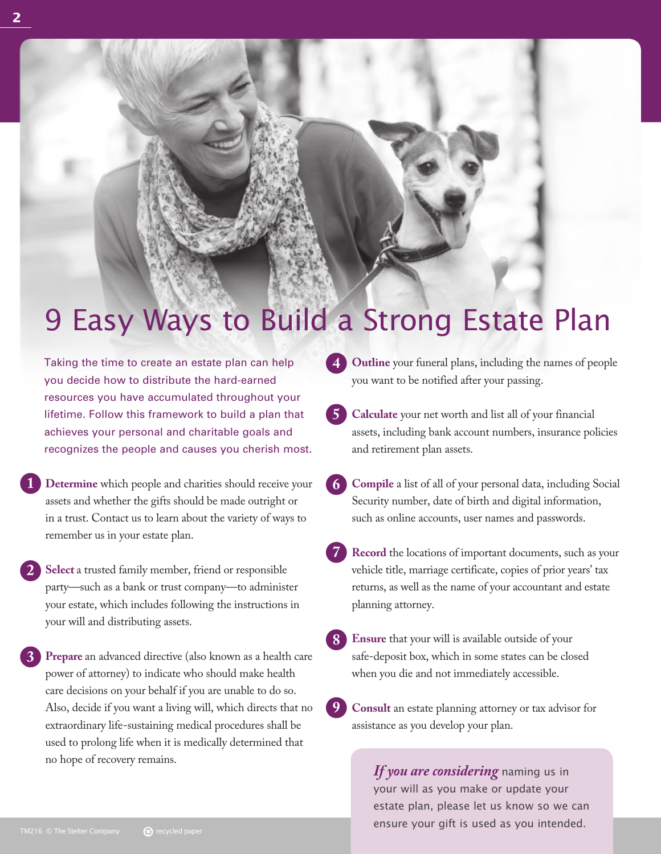# 9 Easy Ways to Build a Strong Estate Plan

Taking the time to create an estate plan can help you decide how to distribute the hard-earned resources you have accumulated throughout your lifetime. Follow this framework to build a plan that achieves your personal and charitable goals and recognizes the people and causes you cherish most.

- **Determine** which people and charities should receive your assets and whether the gifts should be made outright or in a trust. Contact us to learn about the variety of ways to remember us in your estate plan. **1**
- **Select** a trusted family member, friend or responsible party—such as a bank or trust company—to administer your estate, which includes following the instructions in your will and distributing assets. **2**
- **Prepare** an advanced directive (also known as a health care power of attorney) to indicate who should make health care decisions on your behalf if you are unable to do so. Also, decide if you want a living will, which directs that no extraordinary life-sustaining medical procedures shall be used to prolong life when it is medically determined that no hope of recovery remains. **3**
- **Outline** your funeral plans, including the names of people you want to be notified after your passing. **4**
- **Calculate** your net worth and list all of your financial assets, including bank account numbers, insurance policies and retirement plan assets. **5**
- **Compile** a list of all of your personal data, including Social Security number, date of birth and digital information, such as online accounts, user names and passwords. **6**
- **Record** the locations of important documents, such as your vehicle title, marriage certificate, copies of prior years' tax returns, as well as the name of your accountant and estate planning attorney. **7**
- **Ensure** that your will is available outside of your safe-deposit box, which in some states can be closed when you die and not immediately accessible. **8**
- **Consult** an estate planning attorney or tax advisor for assistance as you develop your plan. **9**

*If you are considering* naming us in your will as you make or update your estate plan, please let us know so we can ensure your gift is used as you intended.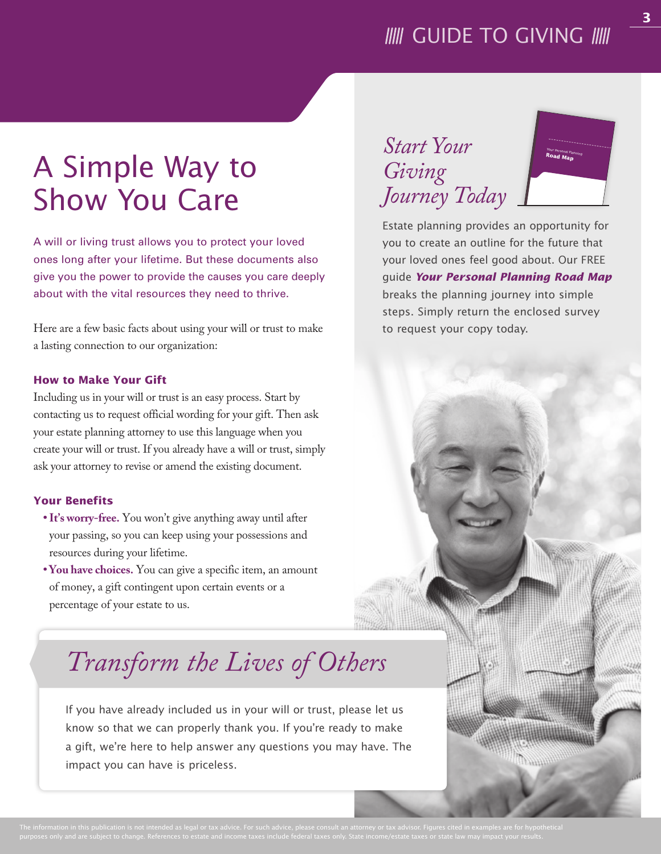### **IIII** GUIDE TO GIVING **IIII**

# A Simple Way to Show You Care

A will or living trust allows you to protect your loved ones long after your lifetime. But these documents also give you the power to provide the causes you care deeply about with the vital resources they need to thrive.

Here are a few basic facts about using your will or trust to make a lasting connection to our organization:

#### **How to Make Your Gift**

Including us in your will or trust is an easy process. Start by contacting us to request official wording for your gift. Then ask your estate planning attorney to use this language when you create your will or trust. If you already have a will or trust, simply ask your attorney to revise or amend the existing document.

#### **Your Benefits**

- **It's worry-free.** You won't give anything away until after your passing, so you can keep using your possessions and resources during your lifetime.
- **You have choices.** You can give a specific item, an amount of money, a gift contingent upon certain events or a percentage of your estate to us.

## *Transform the Lives of Others*

If you have already included us in your will or trust, please let us know so that we can properly thank you. If you're ready to make a gift, we're here to help answer any questions you may have. The impact you can have is priceless.





Estate planning provides an opportunity for you to create an outline for the future that your loved ones feel good about. Our FREE guide *Your Personal Planning Road Map* breaks the planning journey into simple steps. Simply return the enclosed survey to request your copy today.